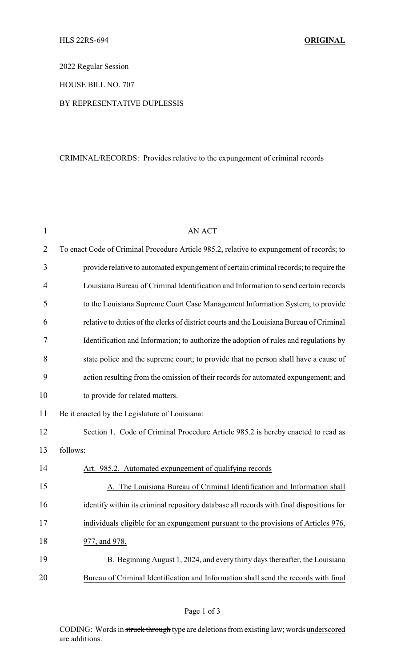2022 Regular Session

HOUSE BILL NO. 707

## BY REPRESENTATIVE DUPLESSIS

## CRIMINAL/RECORDS: Provides relative to the expungement of criminal records

| $\mathbf{1}$   | <b>AN ACT</b>                                                                             |
|----------------|-------------------------------------------------------------------------------------------|
| $\overline{2}$ | To enact Code of Criminal Procedure Article 985.2, relative to expungement of records; to |
| 3              | provide relative to automated expungement of certain criminal records; to require the     |
| $\overline{4}$ | Louisiana Bureau of Criminal Identification and Information to send certain records       |
| 5              | to the Louisiana Supreme Court Case Management Information System; to provide             |
| 6              | relative to duties of the clerks of district courts and the Louisiana Bureau of Criminal  |
| 7              | Identification and Information; to authorize the adoption of rules and regulations by     |
| 8              | state police and the supreme court; to provide that no person shall have a cause of       |
| 9              | action resulting from the omission of their records for automated expungement; and        |
| 10             | to provide for related matters.                                                           |
| 11             | Be it enacted by the Legislature of Louisiana:                                            |
| 12             | Section 1. Code of Criminal Procedure Article 985.2 is hereby enacted to read as          |
| 13             | follows:                                                                                  |
| 14             | Art. 985.2. Automated expungement of qualifying records                                   |
| 15             | The Louisiana Bureau of Criminal Identification and Information shall                     |
| 16             | identify within its criminal repository database all records with final dispositions for  |
| 17             | individuals eligible for an expungement pursuant to the provisions of Articles 976,       |
| 18             | 977, and 978.                                                                             |
| 19             | B. Beginning August 1, 2024, and every thirty days thereafter, the Louisiana              |
| 20             | Bureau of Criminal Identification and Information shall send the records with final       |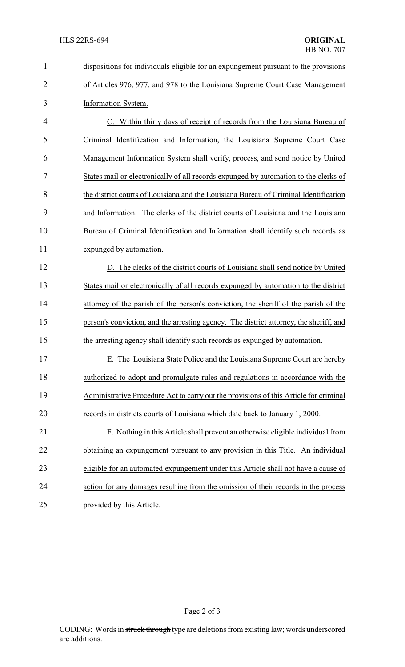| $\mathbf{1}$   | dispositions for individuals eligible for an expungement pursuant to the provisions    |  |  |
|----------------|----------------------------------------------------------------------------------------|--|--|
| $\overline{2}$ | of Articles 976, 977, and 978 to the Louisiana Supreme Court Case Management           |  |  |
| 3              | Information System.                                                                    |  |  |
| $\overline{4}$ | C. Within thirty days of receipt of records from the Louisiana Bureau of               |  |  |
| 5              | Criminal Identification and Information, the Louisiana Supreme Court Case              |  |  |
| 6              | Management Information System shall verify, process, and send notice by United         |  |  |
| 7              | States mail or electronically of all records expunged by automation to the clerks of   |  |  |
| 8              | the district courts of Louisiana and the Louisiana Bureau of Criminal Identification   |  |  |
| 9              | and Information. The clerks of the district courts of Louisiana and the Louisiana      |  |  |
| 10             | Bureau of Criminal Identification and Information shall identify such records as       |  |  |
| 11             | expunged by automation.                                                                |  |  |
| 12             | D. The clerks of the district courts of Louisiana shall send notice by United          |  |  |
| 13             | States mail or electronically of all records expunged by automation to the district    |  |  |
| 14             | attorney of the parish of the person's conviction, the sheriff of the parish of the    |  |  |
| 15             | person's conviction, and the arresting agency. The district attorney, the sheriff, and |  |  |
| 16             | the arresting agency shall identify such records as expunged by automation.            |  |  |
| 17             | E. The Louisiana State Police and the Louisiana Supreme Court are hereby               |  |  |
| 18             | authorized to adopt and promulgate rules and regulations in accordance with the        |  |  |
| 19             | Administrative Procedure Act to carry out the provisions of this Article for criminal  |  |  |
| 20             | records in districts courts of Louisiana which date back to January 1, 2000.           |  |  |
| 21             | F. Nothing in this Article shall prevent an otherwise eligible individual from         |  |  |
| 22             | obtaining an expungement pursuant to any provision in this Title. An individual        |  |  |
| 23             | eligible for an automated expungement under this Article shall not have a cause of     |  |  |
| 24             | action for any damages resulting from the omission of their records in the process     |  |  |
| 25             | provided by this Article.                                                              |  |  |